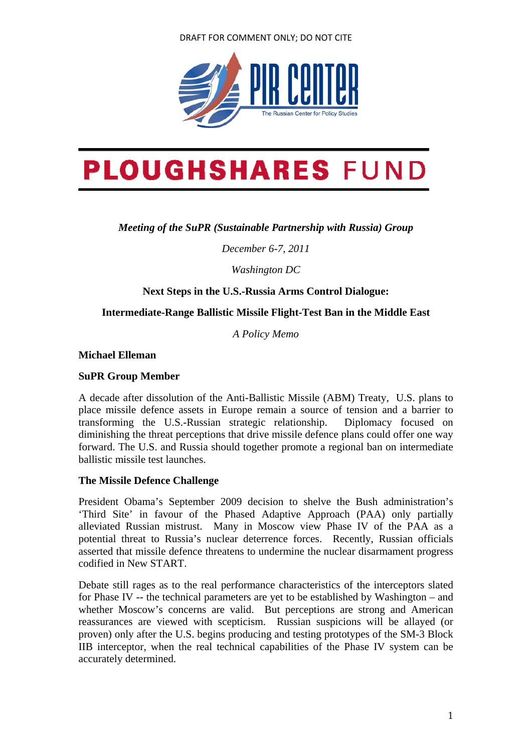#### DRAFT FOR COMMENT ONLY; DO NOT CITE



# **PLOUGHSHARES FUND**

*Meeting of the SuPR (Sustainable Partnership with Russia) Group* 

*December 6-7, 2011* 

*Washington DC* 

**Next Steps in the U.S.-Russia Arms Control Dialogue:** 

## **Intermediate-Range Ballistic Missile Flight-Test Ban in the Middle East**

*A Policy Memo* 

**Michael Elleman** 

#### **SuPR Group Member**

A decade after dissolution of the Anti-Ballistic Missile (ABM) Treaty, U.S. plans to place missile defence assets in Europe remain a source of tension and a barrier to transforming the U.S.-Russian strategic relationship. Diplomacy focused on diminishing the threat perceptions that drive missile defence plans could offer one way forward. The U.S. and Russia should together promote a regional ban on intermediate ballistic missile test launches.

## **The Missile Defence Challenge**

President Obama's September 2009 decision to shelve the Bush administration's 'Third Site' in favour of the Phased Adaptive Approach (PAA) only partially alleviated Russian mistrust. Many in Moscow view Phase IV of the PAA as a potential threat to Russia's nuclear deterrence forces. Recently, Russian officials asserted that missile defence threatens to undermine the nuclear disarmament progress codified in New START.

Debate still rages as to the real performance characteristics of the interceptors slated for Phase IV -- the technical parameters are yet to be established by Washington – and whether Moscow's concerns are valid. But perceptions are strong and American reassurances are viewed with scepticism. Russian suspicions will be allayed (or proven) only after the U.S. begins producing and testing prototypes of the SM-3 Block IIB interceptor, when the real technical capabilities of the Phase IV system can be accurately determined.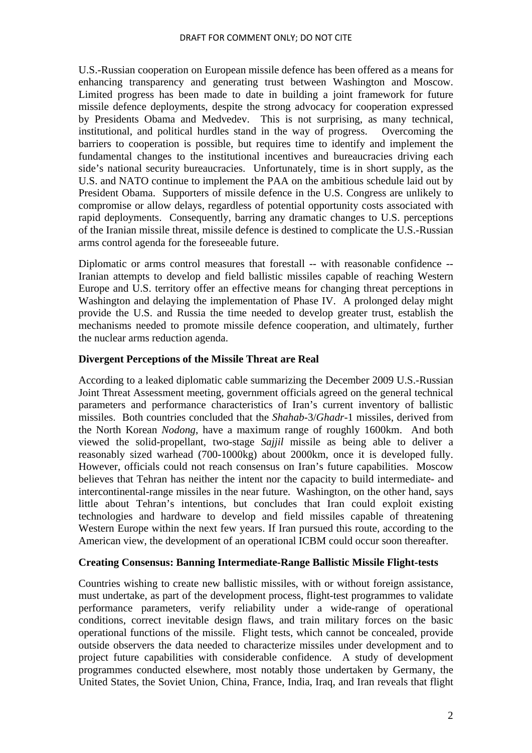U.S.-Russian cooperation on European missile defence has been offered as a means for enhancing transparency and generating trust between Washington and Moscow. Limited progress has been made to date in building a joint framework for future missile defence deployments, despite the strong advocacy for cooperation expressed by Presidents Obama and Medvedev. This is not surprising, as many technical, institutional, and political hurdles stand in the way of progress. Overcoming the barriers to cooperation is possible, but requires time to identify and implement the fundamental changes to the institutional incentives and bureaucracies driving each side's national security bureaucracies. Unfortunately, time is in short supply, as the U.S. and NATO continue to implement the PAA on the ambitious schedule laid out by President Obama. Supporters of missile defence in the U.S. Congress are unlikely to compromise or allow delays, regardless of potential opportunity costs associated with rapid deployments. Consequently, barring any dramatic changes to U.S. perceptions of the Iranian missile threat, missile defence is destined to complicate the U.S.-Russian arms control agenda for the foreseeable future.

Diplomatic or arms control measures that forestall -- with reasonable confidence -- Iranian attempts to develop and field ballistic missiles capable of reaching Western Europe and U.S. territory offer an effective means for changing threat perceptions in Washington and delaying the implementation of Phase IV. A prolonged delay might provide the U.S. and Russia the time needed to develop greater trust, establish the mechanisms needed to promote missile defence cooperation, and ultimately, further the nuclear arms reduction agenda.

# **Divergent Perceptions of the Missile Threat are Real**

According to a leaked diplomatic cable summarizing the December 2009 U.S.-Russian Joint Threat Assessment meeting, government officials agreed on the general technical parameters and performance characteristics of Iran's current inventory of ballistic missiles. Both countries concluded that the *Shahab*-3/*Ghadr*-1 missiles, derived from the North Korean *Nodong*, have a maximum range of roughly 1600km. And both viewed the solid-propellant, two-stage *Sajjil* missile as being able to deliver a reasonably sized warhead (700-1000kg) about 2000km, once it is developed fully. However, officials could not reach consensus on Iran's future capabilities. Moscow believes that Tehran has neither the intent nor the capacity to build intermediate- and intercontinental-range missiles in the near future. Washington, on the other hand, says little about Tehran's intentions, but concludes that Iran could exploit existing technologies and hardware to develop and field missiles capable of threatening Western Europe within the next few years. If Iran pursued this route, according to the American view, the development of an operational ICBM could occur soon thereafter.

## **Creating Consensus: Banning Intermediate-Range Ballistic Missile Flight-tests**

Countries wishing to create new ballistic missiles, with or without foreign assistance, must undertake, as part of the development process, flight-test programmes to validate performance parameters, verify reliability under a wide-range of operational conditions, correct inevitable design flaws, and train military forces on the basic operational functions of the missile. Flight tests, which cannot be concealed, provide outside observers the data needed to characterize missiles under development and to project future capabilities with considerable confidence. A study of development programmes conducted elsewhere, most notably those undertaken by Germany, the United States, the Soviet Union, China, France, India, Iraq, and Iran reveals that flight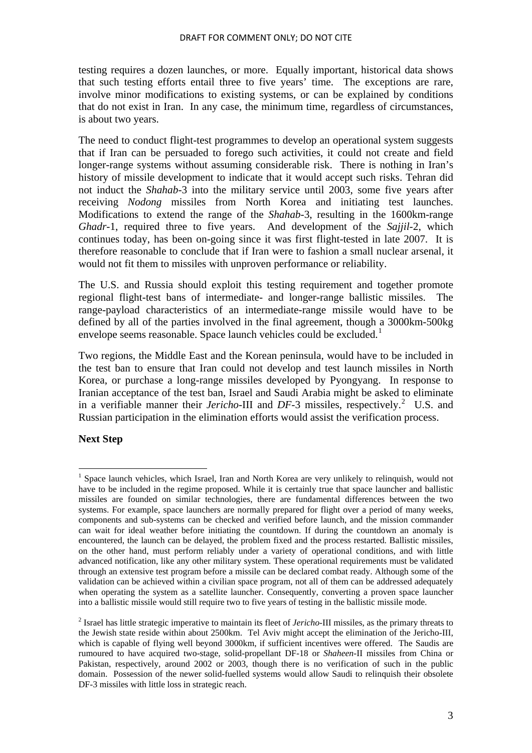testing requires a dozen launches, or more. Equally important, historical data shows that such testing efforts entail three to five years' time. The exceptions are rare, involve minor modifications to existing systems, or can be explained by conditions that do not exist in Iran. In any case, the minimum time, regardless of circumstances, is about two years.

The need to conduct flight-test programmes to develop an operational system suggests that if Iran can be persuaded to forego such activities, it could not create and field longer-range systems without assuming considerable risk. There is nothing in Iran's history of missile development to indicate that it would accept such risks. Tehran did not induct the *Shahab*-3 into the military service until 2003, some five years after receiving *Nodong* missiles from North Korea and initiating test launches. Modifications to extend the range of the *Shahab*-3, resulting in the 1600km-range *Ghadr*-1, required three to five years. And development of the *Sajjil*-2, which continues today, has been on-going since it was first flight-tested in late 2007. It is therefore reasonable to conclude that if Iran were to fashion a small nuclear arsenal, it would not fit them to missiles with unproven performance or reliability.

The U.S. and Russia should exploit this testing requirement and together promote regional flight-test bans of intermediate- and longer-range ballistic missiles. The range-payload characteristics of an intermediate-range missile would have to be defined by all of the parties involved in the final agreement, though a 3000km-500kg envelope seems reasonable. Space launch vehicles could be excluded.<sup>[1](#page-2-0)</sup>

Two regions, the Middle East and the Korean peninsula, would have to be included in the test ban to ensure that Iran could not develop and test launch missiles in North Korea, or purchase a long-range missiles developed by Pyongyang. In response to Iranian acceptance of the test ban, Israel and Saudi Arabia might be asked to eliminate in a verifiable manner their *Jericho*-III and  $DF-3$  missiles, respectively.<sup>[2](#page-2-1)</sup> U.S. and Russian participation in the elimination efforts would assist the verification process.

## **Next Step**

<span id="page-2-0"></span><sup>&</sup>lt;sup>1</sup> Space launch vehicles, which Israel, Iran and North Korea are very unlikely to relinquish, would not have to be included in the regime proposed. While it is certainly true that space launcher and ballistic missiles are founded on similar technologies, there are fundamental differences between the two systems. For example, space launchers are normally prepared for flight over a period of many weeks, components and sub-systems can be checked and verified before launch, and the mission commander can wait for ideal weather before initiating the countdown. If during the countdown an anomaly is encountered, the launch can be delayed, the problem fixed and the process restarted. Ballistic missiles, on the other hand, must perform reliably under a variety of operational conditions, and with little advanced notification, like any other military system. These operational requirements must be validated through an extensive test program before a missile can be declared combat ready. Although some of the validation can be achieved within a civilian space program, not all of them can be addressed adequately when operating the system as a satellite launcher. Consequently, converting a proven space launcher into a ballistic missile would still require two to five years of testing in the ballistic missile mode.

<span id="page-2-1"></span><sup>2</sup> Israel has little strategic imperative to maintain its fleet of *Jericho*-III missiles, as the primary threats to the Jewish state reside within about 2500km. Tel Aviv might accept the elimination of the Jericho-III, which is capable of flying well beyond 3000km, if sufficient incentives were offered. The Saudis are rumoured to have acquired two-stage, solid-propellant DF-18 or *Shaheen*-II missiles from China or Pakistan, respectively, around 2002 or 2003, though there is no verification of such in the public domain. Possession of the newer solid-fuelled systems would allow Saudi to relinquish their obsolete DF-3 missiles with little loss in strategic reach.